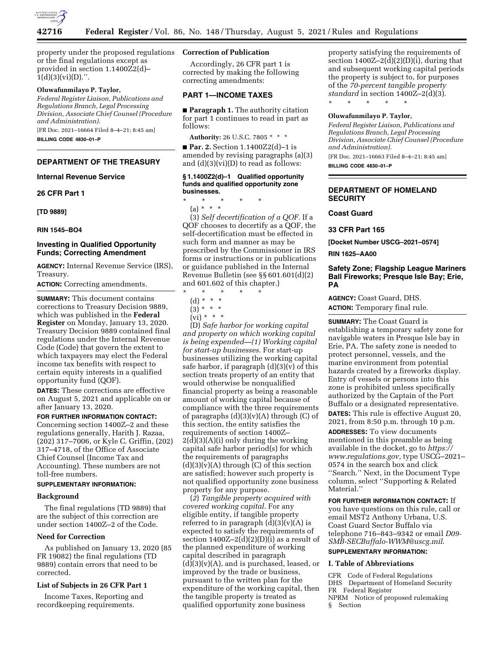

property under the proposed regulations **Correction of Publication**  or the final regulations except as provided in section 1.1400Z2(d)–  $1(d)(3)(vi)(D)$ .".

## **Oluwafunmilayo P. Taylor,**

*Federal Register Liaison, Publications and Regulations Branch, Legal Processing Division, Associate Chief Counsel (Procedure and Administration).* 

[FR Doc. 2021–16664 Filed 8–4–21; 8:45 am] **BILLING CODE 4830–01–P** 

## **DEPARTMENT OF THE TREASURY**

#### **Internal Revenue Service**

**26 CFR Part 1** 

**[TD 9889]** 

## **RIN 1545–BO4**

## **Investing in Qualified Opportunity Funds; Correcting Amendment**

**AGENCY:** Internal Revenue Service (IRS), Treasury.

**ACTION:** Correcting amendments.

**SUMMARY:** This document contains corrections to Treasury Decision 9889, which was published in the **Federal Register** on Monday, January 13, 2020. Treasury Decision 9889 contained final regulations under the Internal Revenue Code (Code) that govern the extent to which taxpayers may elect the Federal income tax benefits with respect to certain equity interests in a qualified opportunity fund (QOF).

**DATES:** These corrections are effective on August 5, 2021 and applicable on or after January 13, 2020.

**FOR FURTHER INFORMATION CONTACT:** 

Concerning section 1400Z–2 and these regulations generally, Harith J. Razaa, (202) 317–7006, or Kyle C. Griffin, (202) 317–4718, of the Office of Associate Chief Counsel (Income Tax and Accounting). These numbers are not toll-free numbers.

## **SUPPLEMENTARY INFORMATION:**

## **Background**

The final regulations (TD 9889) that are the subject of this correction are under section 1400Z–2 of the Code.

## **Need for Correction**

As published on January 13, 2020 (85 FR 19082) the final regulations (TD 9889) contain errors that need to be corrected.

#### **List of Subjects in 26 CFR Part 1**

Income Taxes, Reporting and recordkeeping requirements.

Accordingly, 26 CFR part 1 is corrected by making the following correcting amendments:

## **PART 1—INCOME TAXES**

■ **Paragraph 1.** The authority citation for part 1 continues to read in part as follows:

**Authority:** 26 U.S.C. 7805 \* \* \*

■ **Par. 2.** Section 1.1400Z2(d)–1 is amended by revising paragraphs (a)(3) and (d)(3)(vi)(D) to read as follows:

#### **§ 1.1400Z2(d)–1 Qualified opportunity funds and qualified opportunity zone businesses.**

\* \* \* \* \*

(a) \* \* \*

(3) *Self decertification of a QOF.* If a QOF chooses to decertify as a QOF, the self-decertification must be effected in such form and manner as may be prescribed by the Commissioner in IRS forms or instructions or in publications or guidance published in the Internal Revenue Bulletin (see §§ 601.601(d)(2) and 601.602 of this chapter.)

- \* \* \* \* \*
	- (d) \* \* \*
	- $(3) * * * *$
	- $(vi) * * * *$

(D) *Safe harbor for working capital and property on which working capital is being expended—(1) Working capital for start-up businesses.* For start-up businesses utilizing the working capital safe harbor, if paragraph  $(d)(3)(v)$  of this section treats property of an entity that would otherwise be nonqualified financial property as being a reasonable amount of working capital because of compliance with the three requirements of paragraphs  $(d)(3)(v)(A)$  through  $(C)$  of this section, the entity satisfies the requirements of section 1400Z–  $2(d)(3)(A)(i)$  only during the working capital safe harbor period(s) for which the requirements of paragraphs  $(d)(3)(v)(A)$  through  $(C)$  of this section are satisfied; however such property is not qualified opportunity zone business property for any purpose.

(*2*) *Tangible property acquired with covered working capital.* For any eligible entity, if tangible property referred to in paragraph  $(d)(3)(v)(A)$  is expected to satisfy the requirements of section  $1400Z-2(d)(2)(D)(i)$  as a result of the planned expenditure of working capital described in paragraph  $(d)(3)(v)(A)$ , and is purchased, leased, or improved by the trade or business, pursuant to the written plan for the expenditure of the working capital, then the tangible property is treated as qualified opportunity zone business

property satisfying the requirements of section  $1400Z-2(d)(2)(D)(i)$ , during that and subsequent working capital periods the property is subject to, for purposes of the *70-percent tangible property standard* in section 1400Z–2(d)(3). \* \* \* \* \*

### **Oluwafunmilayo P. Taylor,**

*Federal Register Liaison, Publications and Regulations Branch, Legal Processing Division, Associate Chief Counsel (Procedure and Administration).*  [FR Doc. 2021–16663 Filed 8–4–21; 8:45 am]

**BILLING CODE 4830–01–P** 

## **DEPARTMENT OF HOMELAND SECURITY**

#### **Coast Guard**

**33 CFR Part 165** 

**[Docket Number USCG–2021–0574]** 

#### **RIN 1625–AA00**

## **Safety Zone; Flagship League Mariners Ball Fireworks; Presque Isle Bay; Erie, PA**

**AGENCY:** Coast Guard, DHS. **ACTION:** Temporary final rule.

**SUMMARY:** The Coast Guard is establishing a temporary safety zone for navigable waters in Presque Isle bay in Erie, PA. The safety zone is needed to protect personnel, vessels, and the marine environment from potential hazards created by a fireworks display. Entry of vessels or persons into this zone is prohibited unless specifically authorized by the Captain of the Port Buffalo or a designated representative.

**DATES:** This rule is effective August 20, 2021, from 8:50 p.m. through 10 p.m.

**ADDRESSES:** To view documents mentioned in this preamble as being available in the docket, go to *[https://](https://www.regulations.gov) [www.regulations.gov,](https://www.regulations.gov)* type USCG–2021– 0574 in the search box and click ''Search.'' Next, in the Document Type column, select ''Supporting & Related Material.''

**FOR FURTHER INFORMATION CONTACT:** If you have questions on this rule, call or email MST2 Anthony Urbana, U.S. Coast Guard Sector Buffalo via telephone 716–843–9342 or email *[D09-](mailto:D09-SMB-SECBuffalo-WWM@uscg.mil)  [SMB-SECBuffalo-WWM@uscg.mil](mailto:D09-SMB-SECBuffalo-WWM@uscg.mil)*.

# **SUPPLEMENTARY INFORMATION:**

## **I. Table of Abbreviations**

CFR Code of Federal Regulations DHS Department of Homeland Security FR Federal Register NPRM Notice of proposed rulemaking § Section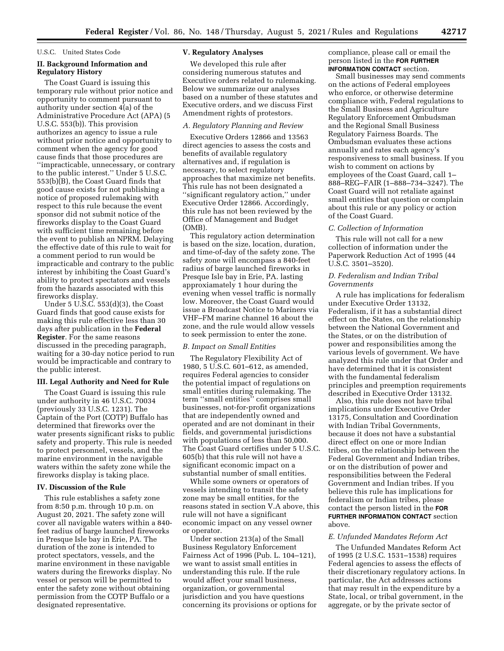#### U.S.C. United States Code

## **II. Background Information and Regulatory History**

The Coast Guard is issuing this temporary rule without prior notice and opportunity to comment pursuant to authority under section 4(a) of the Administrative Procedure Act (APA) (5 U.S.C. 553(b)). This provision authorizes an agency to issue a rule without prior notice and opportunity to comment when the agency for good cause finds that those procedures are ''impracticable, unnecessary, or contrary to the public interest.'' Under 5 U.S.C. 553(b)(B), the Coast Guard finds that good cause exists for not publishing a notice of proposed rulemaking with respect to this rule because the event sponsor did not submit notice of the fireworks display to the Coast Guard with sufficient time remaining before the event to publish an NPRM. Delaying the effective date of this rule to wait for a comment period to run would be impracticable and contrary to the public interest by inhibiting the Coast Guard's ability to protect spectators and vessels from the hazards associated with this fireworks display.

Under 5 U.S.C. 553(d)(3), the Coast Guard finds that good cause exists for making this rule effective less than 30 days after publication in the **Federal Register**. For the same reasons discussed in the preceding paragraph, waiting for a 30-day notice period to run would be impracticable and contrary to the public interest.

## **III. Legal Authority and Need for Rule**

The Coast Guard is issuing this rule under authority in 46 U.S.C. 70034 (previously 33 U.S.C. 1231). The Captain of the Port (COTP) Buffalo has determined that fireworks over the water presents significant risks to public safety and property. This rule is needed to protect personnel, vessels, and the marine environment in the navigable waters within the safety zone while the fireworks display is taking place.

#### **IV. Discussion of the Rule**

This rule establishes a safety zone from 8:50 p.m. through 10 p.m. on August 20, 2021. The safety zone will cover all navigable waters within a 840 feet radius of barge launched fireworks in Presque Isle bay in Erie, PA. The duration of the zone is intended to protect spectators, vessels, and the marine environment in these navigable waters during the fireworks display. No vessel or person will be permitted to enter the safety zone without obtaining permission from the COTP Buffalo or a designated representative.

#### **V. Regulatory Analyses**

We developed this rule after considering numerous statutes and Executive orders related to rulemaking. Below we summarize our analyses based on a number of these statutes and Executive orders, and we discuss First Amendment rights of protestors.

## *A. Regulatory Planning and Review*

Executive Orders 12866 and 13563 direct agencies to assess the costs and benefits of available regulatory alternatives and, if regulation is necessary, to select regulatory approaches that maximize net benefits. This rule has not been designated a ''significant regulatory action,'' under Executive Order 12866. Accordingly, this rule has not been reviewed by the Office of Management and Budget (OMB).

This regulatory action determination is based on the size, location, duration, and time-of-day of the safety zone. The safety zone will encompass a 840-feet radius of barge launched fireworks in Presque Isle bay in Erie, PA. lasting approxiamately 1 hour during the evening when vessel traffic is normally low. Moreover, the Coast Guard would issue a Broadcast Notice to Mariners via VHF–FM marine channel 16 about the zone, and the rule would allow vessels to seek permission to enter the zone.

## *B. Impact on Small Entities*

The Regulatory Flexibility Act of 1980, 5 U.S.C. 601–612, as amended, requires Federal agencies to consider the potential impact of regulations on small entities during rulemaking. The term ''small entities'' comprises small businesses, not-for-profit organizations that are independently owned and operated and are not dominant in their fields, and governmental jurisdictions with populations of less than 50,000. The Coast Guard certifies under 5 U.S.C. 605(b) that this rule will not have a significant economic impact on a substantial number of small entities.

While some owners or operators of vessels intending to transit the safety zone may be small entities, for the reasons stated in section V.A above, this rule will not have a significant economic impact on any vessel owner or operator.

Under section 213(a) of the Small Business Regulatory Enforcement Fairness Act of 1996 (Pub. L. 104–121), we want to assist small entities in understanding this rule. If the rule would affect your small business, organization, or governmental jurisdiction and you have questions concerning its provisions or options for compliance, please call or email the person listed in the **FOR FURTHER INFORMATION CONTACT** section.

Small businesses may send comments on the actions of Federal employees who enforce, or otherwise determine compliance with, Federal regulations to the Small Business and Agriculture Regulatory Enforcement Ombudsman and the Regional Small Business Regulatory Fairness Boards. The Ombudsman evaluates these actions annually and rates each agency's responsiveness to small business. If you wish to comment on actions by employees of the Coast Guard, call 1– 888–REG–FAIR (1–888–734–3247). The Coast Guard will not retaliate against small entities that question or complain about this rule or any policy or action of the Coast Guard.

## *C. Collection of Information*

This rule will not call for a new collection of information under the Paperwork Reduction Act of 1995 (44 U.S.C. 3501–3520).

## *D. Federalism and Indian Tribal Governments*

A rule has implications for federalism under Executive Order 13132, Federalism, if it has a substantial direct effect on the States, on the relationship between the National Government and the States, or on the distribution of power and responsibilities among the various levels of government. We have analyzed this rule under that Order and have determined that it is consistent with the fundamental federalism principles and preemption requirements described in Executive Order 13132.

Also, this rule does not have tribal implications under Executive Order 13175, Consultation and Coordination with Indian Tribal Governments, because it does not have a substantial direct effect on one or more Indian tribes, on the relationship between the Federal Government and Indian tribes, or on the distribution of power and responsibilities between the Federal Government and Indian tribes. If you believe this rule has implications for federalism or Indian tribes, please contact the person listed in the **FOR FURTHER INFORMATION CONTACT** section above.

#### *E. Unfunded Mandates Reform Act*

The Unfunded Mandates Reform Act of 1995 (2 U.S.C. 1531–1538) requires Federal agencies to assess the effects of their discretionary regulatory actions. In particular, the Act addresses actions that may result in the expenditure by a State, local, or tribal government, in the aggregate, or by the private sector of